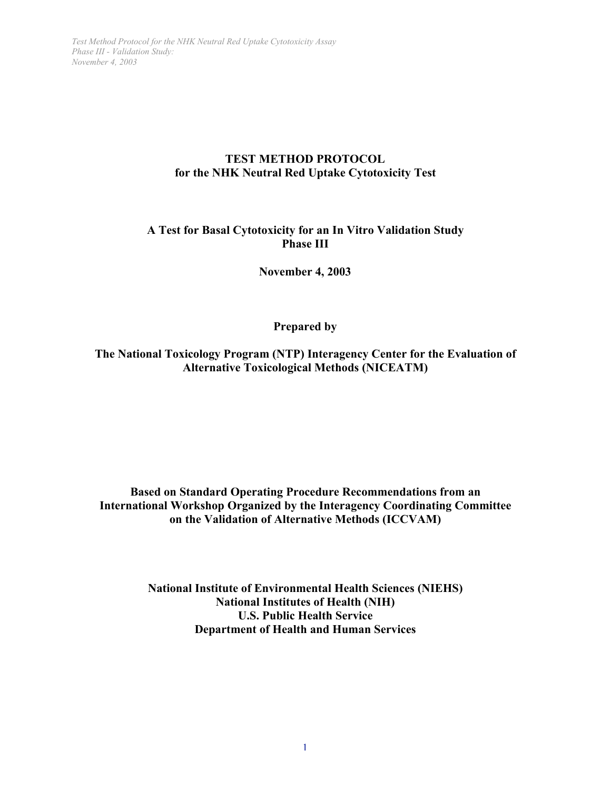# **TEST METHOD PROTOCOL for the NHK Neutral Red Uptake Cytotoxicity Test**

# **A Test for Basal Cytotoxicity for an In Vitro Validation Study Phase III**

**November 4, 2003**

**Prepared by**

**The National Toxicology Program (NTP) Interagency Center for the Evaluation of Alternative Toxicological Methods (NICEATM)**

**Based on Standard Operating Procedure Recommendations from an International Workshop Organized by the Interagency Coordinating Committee on the Validation of Alternative Methods (ICCVAM)**

> **National Institute of Environmental Health Sciences (NIEHS) National Institutes of Health (NIH) U.S. Public Health Service Department of Health and Human Services**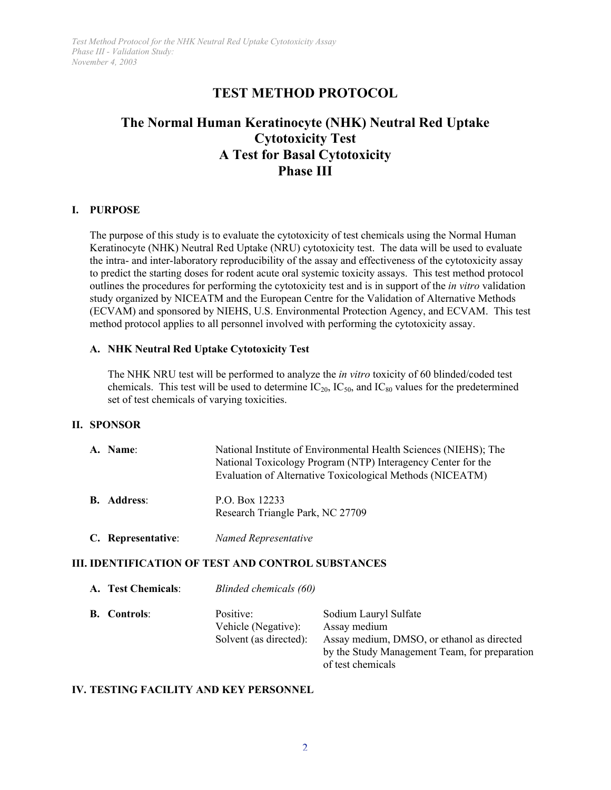# **TEST METHOD PROTOCOL**

# **The Normal Human Keratinocyte (NHK) Neutral Red Uptake Cytotoxicity Test A Test for Basal Cytotoxicity Phase III**

#### **I. PURPOSE**

The purpose of this study is to evaluate the cytotoxicity of test chemicals using the Normal Human Keratinocyte (NHK) Neutral Red Uptake (NRU) cytotoxicity test. The data will be used to evaluate the intra- and inter-laboratory reproducibility of the assay and effectiveness of the cytotoxicity assay to predict the starting doses for rodent acute oral systemic toxicity assays. This test method protocol outlines the procedures for performing the cytotoxicity test and is in support of the *in vitro* validation study organized by NICEATM and the European Centre for the Validation of Alternative Methods (ECVAM) and sponsored by NIEHS, U.S. Environmental Protection Agency, and ECVAM. This test method protocol applies to all personnel involved with performing the cytotoxicity assay.

#### **A. NHK Neutral Red Uptake Cytotoxicity Test**

The NHK NRU test will be performed to analyze the *in vitro* toxicity of 60 blinded/coded test chemicals. This test will be used to determine  $IC_{20}$ ,  $IC_{50}$ , and  $IC_{80}$  values for the predetermined set of test chemicals of varying toxicities.

#### **II. SPONSOR**

| A. Name:           | National Institute of Environmental Health Sciences (NIEHS); The<br>National Toxicology Program (NTP) Interagency Center for the<br>Evaluation of Alternative Toxicological Methods (NICEATM) |
|--------------------|-----------------------------------------------------------------------------------------------------------------------------------------------------------------------------------------------|
| <b>B.</b> Address: | P.O. Box 12233<br>Research Triangle Park, NC 27709                                                                                                                                            |
| C. Representative: | Named Representative                                                                                                                                                                          |

#### **III. IDENTIFICATION OF TEST AND CONTROL SUBSTANCES**

| A. Test Chemicals:  |                                                            | Blinded chemicals (60)                                                                                                                                    |  |  |  |  |  |
|---------------------|------------------------------------------------------------|-----------------------------------------------------------------------------------------------------------------------------------------------------------|--|--|--|--|--|
| <b>B.</b> Controls: | Positive:<br>Vehicle (Negative):<br>Solvent (as directed): | Sodium Lauryl Sulfate<br>Assay medium<br>Assay medium, DMSO, or ethanol as directed<br>by the Study Management Team, for preparation<br>of test chemicals |  |  |  |  |  |

#### **IV. TESTING FACILITY AND KEY PERSONNEL**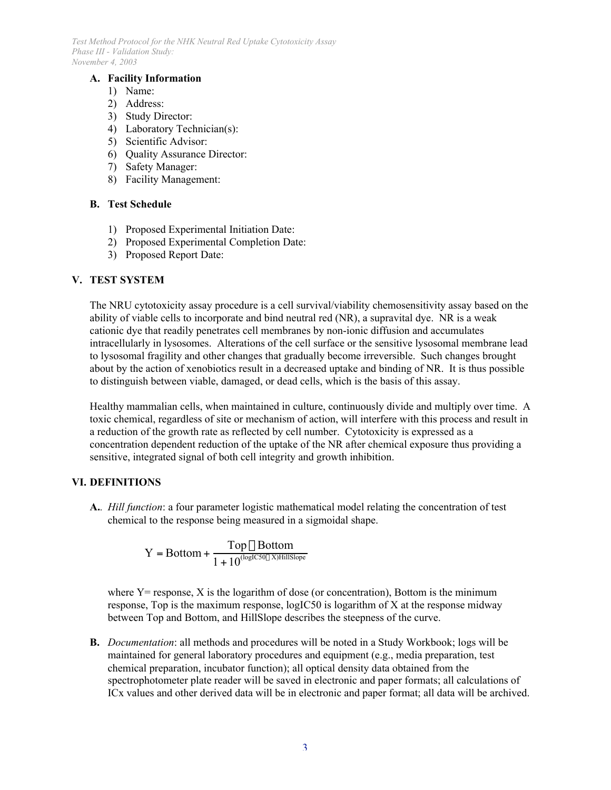#### **A. Facility Information**

- 1) Name:
- 2) Address:
- 3) Study Director:
- 4) Laboratory Technician(s):
- 5) Scientific Advisor:
- 6) Quality Assurance Director:
- 7) Safety Manager:
- 8) Facility Management:

## **B. Test Schedule**

- 1) Proposed Experimental Initiation Date:
- 2) Proposed Experimental Completion Date:
- 3) Proposed Report Date:

# **V. TEST SYSTEM**

The NRU cytotoxicity assay procedure is a cell survival/viability chemosensitivity assay based on the ability of viable cells to incorporate and bind neutral red (NR), a supravital dye. NR is a weak cationic dye that readily penetrates cell membranes by non-ionic diffusion and accumulates intracellularly in lysosomes. Alterations of the cell surface or the sensitive lysosomal membrane lead to lysosomal fragility and other changes that gradually become irreversible. Such changes brought about by the action of xenobiotics result in a decreased uptake and binding of NR. It is thus possible to distinguish between viable, damaged, or dead cells, which is the basis of this assay.

Healthy mammalian cells, when maintained in culture, continuously divide and multiply over time. A toxic chemical, regardless of site or mechanism of action, will interfere with this process and result in a reduction of the growth rate as reflected by cell number. Cytotoxicity is expressed as a concentration dependent reduction of the uptake of the NR after chemical exposure thus providing a sensitive, integrated signal of both cell integrity and growth inhibition.

#### **VI. DEFINITIONS**

**A.***. Hill function*: a four parameter logistic mathematical model relating the concentration of test chemical to the response being measured in a sigmoidal shape.

$$
Y = Bottom + \frac{Top - Bottom}{1 + 10^{\text{(logIC50 - X)HillSlope}}}
$$

where  $Y =$  response,  $X$  is the logarithm of dose (or concentration), Bottom is the minimum response, Top is the maximum response, logIC50 is logarithm of X at the response midway between Top and Bottom, and HillSlope describes the steepness of the curve.

**B.** *Documentation*: all methods and procedures will be noted in a Study Workbook; logs will be maintained for general laboratory procedures and equipment (e.g., media preparation, test chemical preparation, incubator function); all optical density data obtained from the spectrophotometer plate reader will be saved in electronic and paper formats; all calculations of ICx values and other derived data will be in electronic and paper format; all data will be archived.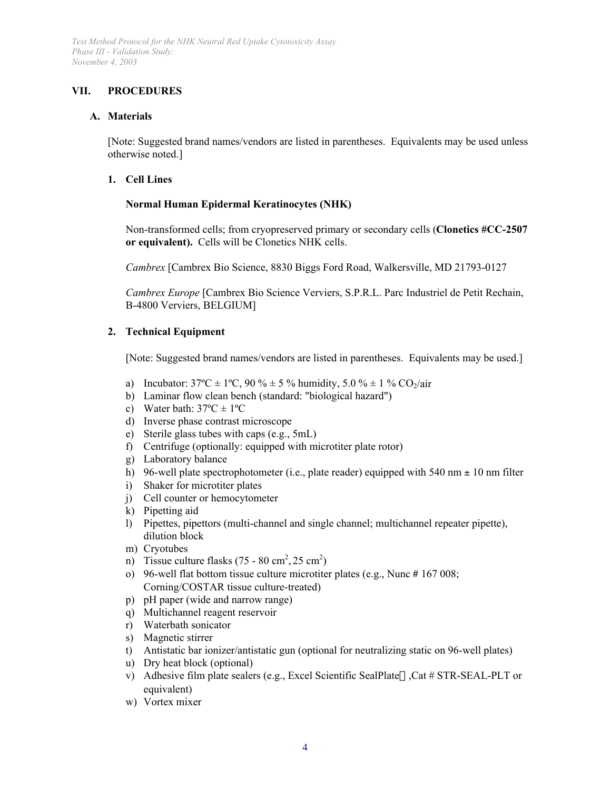# **VII. PROCEDURES**

### **A. Materials**

[Note: Suggested brand names/vendors are listed in parentheses. Equivalents may be used unless otherwise noted.]

## **1. Cell Lines**

## **Normal Human Epidermal Keratinocytes (NHK)**

Non-transformed cells; from cryopreserved primary or secondary cells (**Clonetics #CC-2507 or equivalent).** Cells will be Clonetics NHK cells.

*Cambrex* [Cambrex Bio Science, 8830 Biggs Ford Road, Walkersville, MD 21793-0127

*Cambrex Europe* [Cambrex Bio Science Verviers, S.P.R.L. Parc Industriel de Petit Rechain, B-4800 Verviers, BELGIUM]

# **2. Technical Equipment**

[Note: Suggested brand names/vendors are listed in parentheses. Equivalents may be used.]

- a) Incubator:  $37^{\circ}\text{C} \pm 1^{\circ}\text{C}$ ,  $90\% \pm 5\%$  humidity,  $5.0\% \pm 1\%$  CO<sub>2</sub>/air
- b) Laminar flow clean bench (standard: "biological hazard")
- c) Water bath:  $37^{\circ}C \pm 1^{\circ}C$
- d) Inverse phase contrast microscope
- e) Sterile glass tubes with caps (e.g., 5mL)
- f) Centrifuge (optionally: equipped with microtiter plate rotor)
- g) Laboratory balance
- h) 96-well plate spectrophotometer (i.e., plate reader) equipped with 540 nm  $\pm$  10 nm filter
- i) Shaker for microtiter plates
- j) Cell counter or hemocytometer
- k) Pipetting aid
- l) Pipettes, pipettors (multi-channel and single channel; multichannel repeater pipette), dilution block
- m) Cryotubes
- n) Tissue culture flasks  $(75 80 \text{ cm}^2, 25 \text{ cm}^2)$
- o) 96-well flat bottom tissue culture microtiter plates (e.g., Nunc # 167 008; Corning/COSTAR tissue culture-treated)
- p) pH paper (wide and narrow range)
- q) Multichannel reagent reservoir
- r) Waterbath sonicator
- s) Magnetic stirrer
- t) Antistatic bar ionizer/antistatic gun (optional for neutralizing static on 96-well plates)
- u) Dry heat block (optional)
- v) Adhesive film plate sealers (e.g., Excel Scientific SealPlate<sup> $\tau$ M</sup>, Cat # STR-SEAL-PLT or equivalent)
- w) Vortex mixer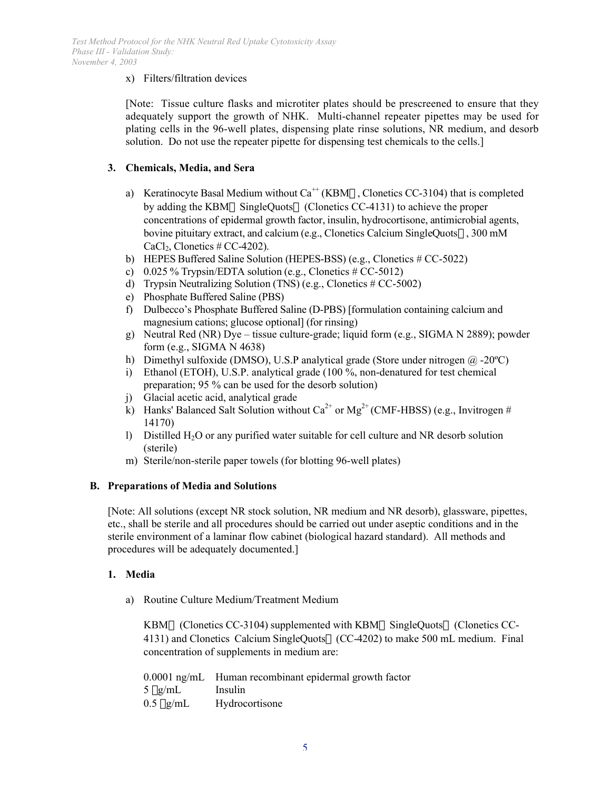## x) Filters/filtration devices

[Note: Tissue culture flasks and microtiter plates should be prescreened to ensure that they adequately support the growth of NHK. Multi-channel repeater pipettes may be used for plating cells in the 96-well plates, dispensing plate rinse solutions, NR medium, and desorb solution. Do not use the repeater pipette for dispensing test chemicals to the cells.]

## **3. Chemicals, Media, and Sera**

- a) Keratinocyte Basal Medium without  $Ca^{+}$  (KBM®, Clonetics CC-3104) that is completed concentrations of epidermal growth factor, insulin, hydrocortisone, antimicrobial agents, bovine pituitary extract, and calcium (e.g., Clonetics Calcium SingleQuots", 300 mM  $CaCl<sub>2</sub>$ , Clonetics # CC-4202). by adding the KBM® SingleQuots® (Clonetics CC-4131) to achieve the proper
- b) HEPES Buffered Saline Solution (HEPES-BSS) (e.g., Clonetics # CC-5022)
- c)  $0.025\%$  Trypsin/EDTA solution (e.g., Clonetics # CC-5012)
- d) Trypsin Neutralizing Solution (TNS) (e.g., Clonetics # CC-5002)
- e) Phosphate Buffered Saline (PBS)
- f) Dulbecco's Phosphate Buffered Saline (D-PBS) [formulation containing calcium and magnesium cations; glucose optional] (for rinsing)
- g) Neutral Red (NR) Dye tissue culture-grade; liquid form (e.g., SIGMA N 2889); powder form (e.g., SIGMA N 4638)
- h) Dimethyl sulfoxide (DMSO), U.S.P analytical grade (Store under nitrogen  $\omega$ -20°C)
- i) Ethanol (ETOH), U.S.P. analytical grade (100 %, non-denatured for test chemical preparation; 95 % can be used for the desorb solution)
- j) Glacial acetic acid, analytical grade
- k) Hanks' Balanced Salt Solution without  $Ca^{2+}$  or Mg<sup>2+</sup> (CMF-HBSS) (e.g., Invitrogen # 14170)
- l) Distilled  $H_2O$  or any purified water suitable for cell culture and NR desorb solution (sterile)
- m) Sterile/non-sterile paper towels (for blotting 96-well plates)

#### **B. Preparations of Media and Solutions**

[Note: All solutions (except NR stock solution, NR medium and NR desorb), glassware, pipettes, etc., shall be sterile and all procedures should be carried out under aseptic conditions and in the sterile environment of a laminar flow cabinet (biological hazard standard). All methods and procedures will be adequately documented.]

#### **1. Media**

a) Routine Culture Medium/Treatment Medium

KBM® (Clonetics CC-3104) supplemented with KBM® SingleQuots® (Clonetics CC-4131) and Clonetics Calcium SingleQuots® (CC-4202) to make 500 mL medium. Final concentration of supplements in medium are:

|                | 0.0001 ng/mL Human recombinant epidermal growth factor |
|----------------|--------------------------------------------------------|
| 5 µg/mL        | Insulin                                                |
| $0.5 \mu$ g/mL | Hydrocortisone                                         |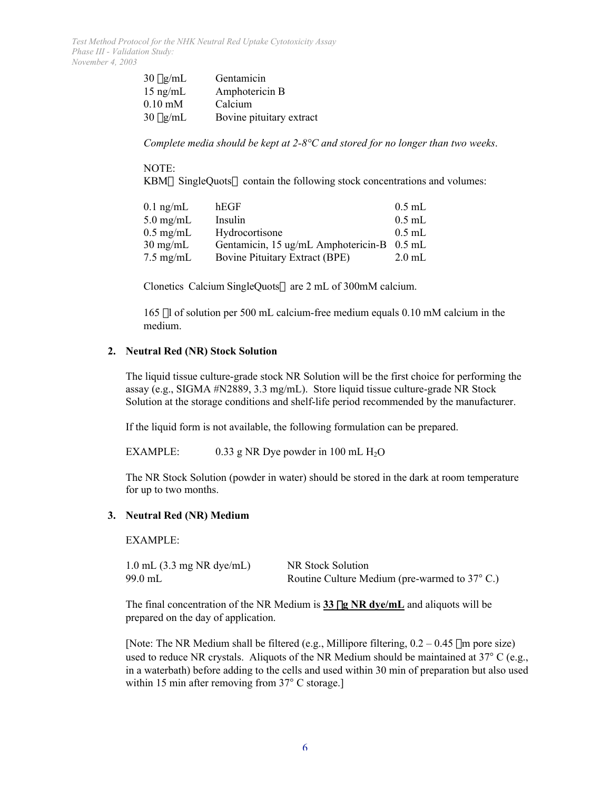| $30 \mu g/mL$     | Gentamicin               |
|-------------------|--------------------------|
| $15$ ng/mL        | Amphotericin B           |
| $0.10 \text{ mM}$ | Calcium                  |
| $30 \mu g/mL$     | Bovine pituitary extract |

*Complete media should be kept at 2-8°C and stored for no longer than two weeks*.

#### NOTE:

KBM® SingleQuots® contain the following stock concentrations and volumes:

| $0.1$ ng/mL         | hEGF.                                      | $0.5$ mL |
|---------------------|--------------------------------------------|----------|
| $5.0 \text{ mg/mL}$ | Insulin                                    | $0.5$ mL |
| $0.5 \text{ mg/mL}$ | Hydrocortisone                             | $0.5$ mL |
| $30 \text{ mg/mL}$  | Gentamicin, 15 ug/mL Amphotericin-B 0.5 mL |          |
| $7.5 \text{ mg/mL}$ | <b>Bovine Pituitary Extract (BPE)</b>      | $2.0$ mL |

Clonetics Calcium SingleQuots® are 2 mL of 300mM calcium.

165 ml of solution per 500 mL calcium-free medium equals 0.10 mM calcium in the medium.

### **2. Neutral Red (NR) Stock Solution**

The liquid tissue culture-grade stock NR Solution will be the first choice for performing the assay (e.g., SIGMA #N2889, 3.3 mg/mL). Store liquid tissue culture-grade NR Stock Solution at the storage conditions and shelf-life period recommended by the manufacturer.

If the liquid form is not available, the following formulation can be prepared.

EXAMPLE: 0.33 g NR Dye powder in 100 mL  $H_2O$ 

The NR Stock Solution (powder in water) should be stored in the dark at room temperature for up to two months.

#### **3. Neutral Red (NR) Medium**

EXAMPLE:

| $1.0$ mL $(3.3$ mg NR dye/mL) | NR Stock Solution                            |  |
|-------------------------------|----------------------------------------------|--|
| 99.0 mL                       | Routine Culture Medium (pre-warmed to 37 C.) |  |

The final concentration of the NR Medium is 33  $\mu$ **g NR dye/mL** and aliquots will be prepared on the day of application.

[Note: The NR Medium shall be filtered (e.g., Millipore filtering,  $0.2 - 0.45$  µm pore size) used to reduce NR crystals. Aliquots of the NR Medium should be maintained at 37 C (e.g., in a waterbath) before adding to the cells and used within 30 min of preparation but also used within 15 min after removing from 37 C storage.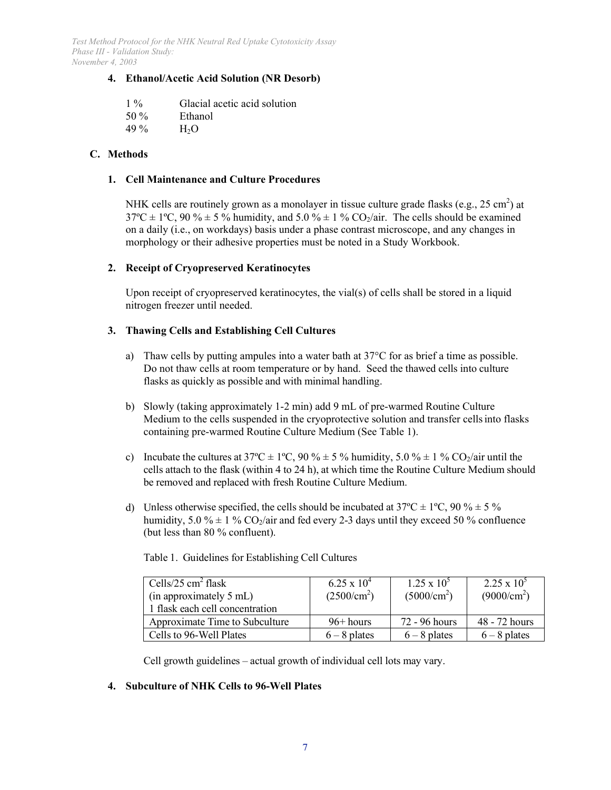### **4. Ethanol/Acetic Acid Solution (NR Desorb)**

| $1\%$   | Glacial acetic acid solution |
|---------|------------------------------|
| 50 $\%$ | Ethanol                      |
| 49 $\%$ | H <sub>2</sub> O             |

## **C. Methods**

#### **1. Cell Maintenance and Culture Procedures**

NHK cells are routinely grown as a monolayer in tissue culture grade flasks (e.g.,  $25 \text{ cm}^2$ ) at  $37^{\circ}\text{C} \pm 1^{\circ}\text{C}$ , 90 %  $\pm$  5 % humidity, and 5.0 %  $\pm$  1 % CO<sub>2</sub>/air. The cells should be examined on a daily (i.e., on workdays) basis under a phase contrast microscope, and any changes in morphology or their adhesive properties must be noted in a Study Workbook.

#### **2. Receipt of Cryopreserved Keratinocytes**

Upon receipt of cryopreserved keratinocytes, the vial(s) of cells shall be stored in a liquid nitrogen freezer until needed.

#### **3. Thawing Cells and Establishing Cell Cultures**

- Do not thaw cells at room temperature or by hand. Seed the thawed cells into culture flasks as quickly as possible and with minimal handling. a) Thaw cells by putting ampules into a water bath at  $37^{\circ}$ C for as brief a time as possible.
- b) Slowly (taking approximately 1-2 min) add 9 mL of pre-warmed Routine Culture Medium to the cells suspended in the cryoprotective solution and transfer cells into flasks containing pre-warmed Routine Culture Medium (See Table 1).
- c) Incubate the cultures at 37<sup>o</sup>C  $\pm$  1<sup>o</sup>C, 90 %  $\pm$  5 % humidity, 5.0 %  $\pm$  1 % CO<sub>2</sub>/air until the cells attach to the flask (within 4 to 24 h), at which time the Routine Culture Medium should be removed and replaced with fresh Routine Culture Medium.
- d) Unless otherwise specified, the cells should be incubated at  $37^{\circ}C \pm 1^{\circ}C$ ,  $90\% \pm 5\%$ humidity, 5.0 %  $\pm$  1 % CO<sub>2</sub>/air and fed every 2-3 days until they exceed 50 % confluence (but less than 80 % confluent).

| Cells/25 cm <sup>2</sup> flask<br>(in approximately 5 mL)<br>1 flask each cell concentration | $6.25 \times 10^{4}$<br>$(2500/cm^2)$ | $1.25 \times 10^{5}$<br>$(5000/cm^2)$ | $2.25 \times 10^{5}$<br>(9000/cm <sup>2</sup> ) |
|----------------------------------------------------------------------------------------------|---------------------------------------|---------------------------------------|-------------------------------------------------|
| Approximate Time to Subculture                                                               | $96+ hours$                           | 72 - 96 hours                         | 48 - 72 hours                                   |
| Cells to 96-Well Plates                                                                      | $6 - 8$ plates                        | $6 - 8$ plates                        | $6 - 8$ plates                                  |

Table 1. Guidelines for Establishing Cell Cultures

Cell growth guidelines – actual growth of individual cell lots may vary.

#### **4. Subculture of NHK Cells to 96-Well Plates**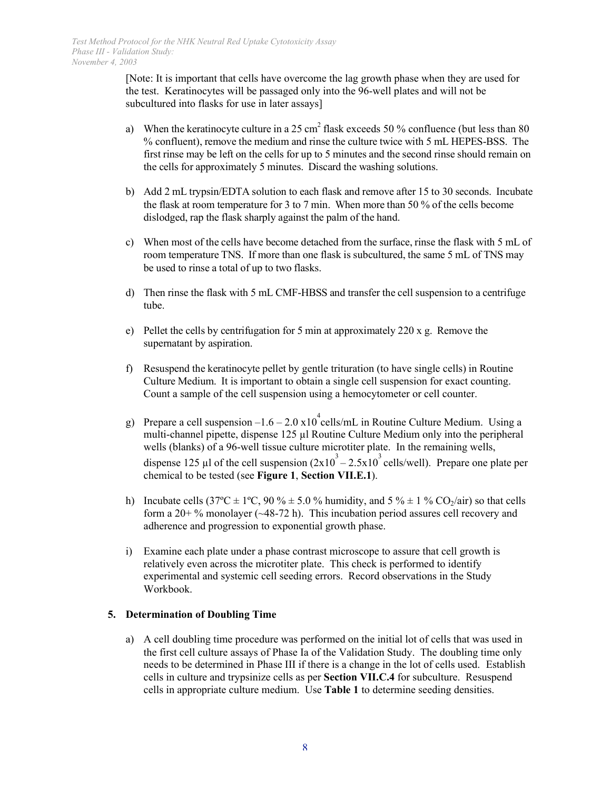[Note: It is important that cells have overcome the lag growth phase when they are used for the test. Keratinocytes will be passaged only into the 96-well plates and will not be subcultured into flasks for use in later assays]

- a) When the keratinocyte culture in a 25 cm<sup>2</sup> flask exceeds 50 % confluence (but less than 80 % confluent), remove the medium and rinse the culture twice with 5 mL HEPES-BSS. The first rinse may be left on the cells for up to 5 minutes and the second rinse should remain on the cells for approximately 5 minutes. Discard the washing solutions.
- b) Add 2 mL trypsin/EDTA solution to each flask and remove after 15 to 30 seconds. Incubate the flask at room temperature for 3 to 7 min. When more than 50 % of the cells become dislodged, rap the flask sharply against the palm of the hand.
- c) When most of the cells have become detached from the surface, rinse the flask with 5 mL of room temperature TNS. If more than one flask is subcultured, the same 5 mL of TNS may be used to rinse a total of up to two flasks.
- d) Then rinse the flask with 5 mL CMF-HBSS and transfer the cell suspension to a centrifuge tube.
- e) Pellet the cells by centrifugation for 5 min at approximately 220 x g. Remove the supernatant by aspiration.
- f) Resuspend the keratinocyte pellet by gentle trituration (to have single cells) in Routine Culture Medium. It is important to obtain a single cell suspension for exact counting. Count a sample of the cell suspension using a hemocytometer or cell counter.
- g) Prepare a cell suspension  $-1.6 2.0 \times 10^{4}$  cells/mL in Routine Culture Medium. Using a multi-channel pipette, dispense 125 µl Routine Culture Medium only into the peripheral wells (blanks) of a 96-well tissue culture microtiter plate. In the remaining wells, dispense 125 µl of the cell suspension  $(2x10^3 - 2.5x10^3$  cells/well). Prepare one plate per chemical to be tested (see **Figure 1**, **Section VII.E.1**).
- h) Incubate cells  $(37^{\circ}\text{C} \pm 1^{\circ}\text{C}, 90\% \pm 5.0\%$  humidity, and  $5\% \pm 1\%$  CO<sub>2</sub>/air) so that cells form a  $20+$ % monolayer ( $\sim$ 48-72 h). This incubation period assures cell recovery and adherence and progression to exponential growth phase.
- i) Examine each plate under a phase contrast microscope to assure that cell growth is relatively even across the microtiter plate. This check is performed to identify experimental and systemic cell seeding errors. Record observations in the Study Workbook.

# **5. Determination of Doubling Time**

 needs to be determined in Phase III if there is a change in the lot of cells used. Establish a) A cell doubling time procedure was performed on the initial lot of cells that was used in the first cell culture assays of Phase Ia of the Validation Study. The doubling time only cells in culture and trypsinize cells as per **Section VII.C.4** for subculture. Resuspend cells in appropriate culture medium. Use **Table 1** to determine seeding densities.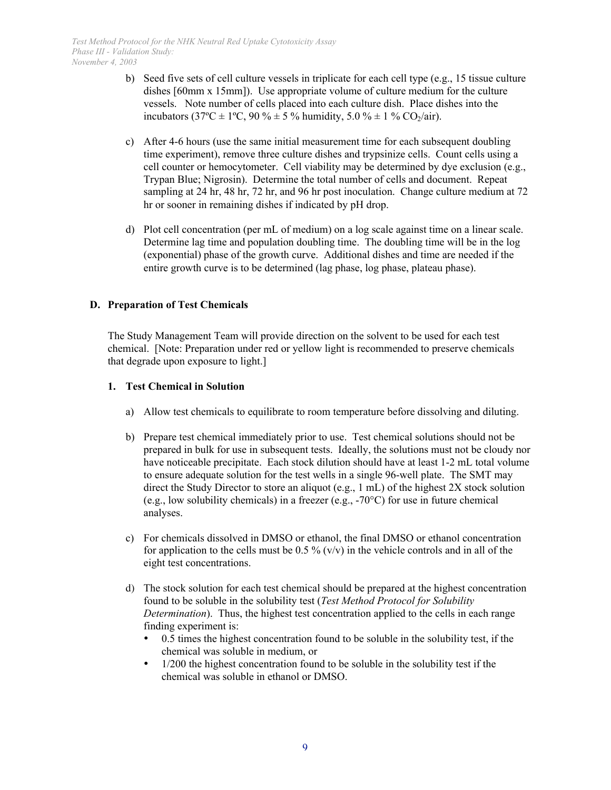- b) Seed five sets of cell culture vessels in triplicate for each cell type (e.g., 15 tissue culture dishes [60mm x 15mm]). Use appropriate volume of culture medium for the culture vessels. Note number of cells placed into each culture dish. Place dishes into the incubators (37°C  $\pm$  1°C, 90 %  $\pm$  5 % humidity, 5.0 %  $\pm$  1 % CO<sub>2</sub>/air).
- c) After 4-6 hours (use the same initial measurement time for each subsequent doubling time experiment), remove three culture dishes and trypsinize cells. Count cells using a cell counter or hemocytometer. Cell viability may be determined by dye exclusion (e.g., Trypan Blue; Nigrosin). Determine the total number of cells and document. Repeat sampling at 24 hr, 48 hr, 72 hr, and 96 hr post inoculation. Change culture medium at 72 hr or sooner in remaining dishes if indicated by pH drop.
- d) Plot cell concentration (per mL of medium) on a log scale against time on a linear scale. Determine lag time and population doubling time. The doubling time will be in the log (exponential) phase of the growth curve. Additional dishes and time are needed if the entire growth curve is to be determined (lag phase, log phase, plateau phase).

## **D. Preparation of Test Chemicals**

The Study Management Team will provide direction on the solvent to be used for each test chemical. [Note: Preparation under red or yellow light is recommended to preserve chemicals that degrade upon exposure to light.]

#### **1. Test Chemical in Solution**

- a) Allow test chemicals to equilibrate to room temperature before dissolving and diluting.
- b) Prepare test chemical immediately prior to use. Test chemical solutions should not be prepared in bulk for use in subsequent tests. Ideally, the solutions must not be cloudy nor have noticeable precipitate. Each stock dilution should have at least 1-2 mL total volume to ensure adequate solution for the test wells in a single 96-well plate. The SMT may direct the Study Director to store an aliquot (e.g., 1 mL) of the highest 2X stock solution (e.g., low solubility chemicals) in a freezer (e.g., -70°C) for use in future chemical analyses.
- c) For chemicals dissolved in DMSO or ethanol, the final DMSO or ethanol concentration for application to the cells must be  $0.5\%$  (v/v) in the vehicle controls and in all of the eight test concentrations.
- d) The stock solution for each test chemical should be prepared at the highest concentration found to be soluble in the solubility test (*Test Method Protocol for Solubility Determination*). Thus, the highest test concentration applied to the cells in each range finding experiment is:

 0.5 times the highest concentration found to be soluble in the solubility test, if the chemical was soluble in medium, or

 1/200 the highest concentration found to be soluble in the solubility test if the chemical was soluble in ethanol or DMSO.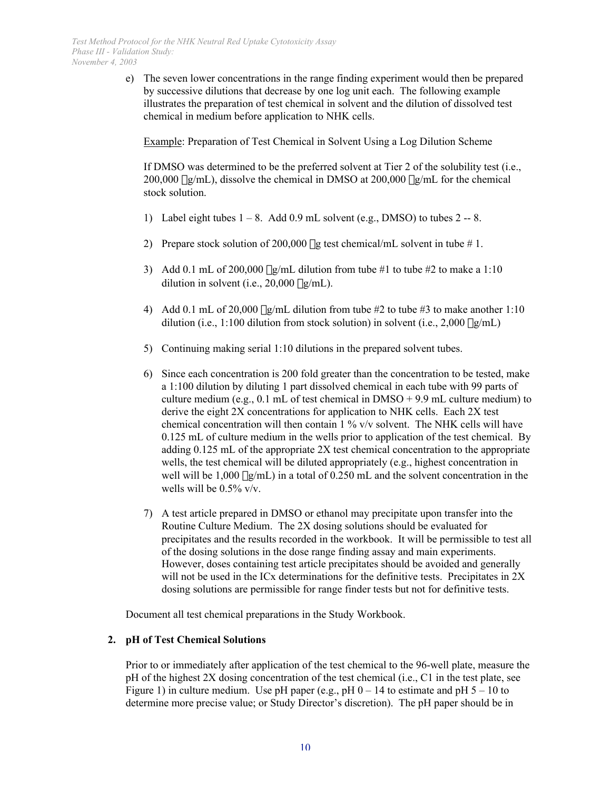e) The seven lower concentrations in the range finding experiment would then be prepared by successive dilutions that decrease by one log unit each. The following example illustrates the preparation of test chemical in solvent and the dilution of dissolved test chemical in medium before application to NHK cells.

Example: Preparation of Test Chemical in Solvent Using a Log Dilution Scheme

If DMSO was determined to be the preferred solvent at Tier 2 of the solubility test (i.e., 200,000  $\mu$ g/mL), dissolve the chemical in DMSO at 200,000  $\mu$ g/mL for the chemical stock solution.

- 1) Label eight tubes  $1 8$ . Add 0.9 mL solvent (e.g., DMSO) to tubes  $2 8$ .
- 2) Prepare stock solution of 200,000  $\mu$ g test chemical/mL solvent in tube # 1.
- 3) Add 0.1 mL of 200,000  $\mu$ g/mL dilution from tube #1 to tube #2 to make a 1:10 dilution in solvent (i.e.,  $20,000 \mu$ g/mL).
- 4) Add 0.1 mL of 20,000  $\mu$ g/mL dilution from tube #2 to tube #3 to make another 1:10 dilution (i.e., 1:100 dilution from stock solution) in solvent (i.e.,  $2,000 \mu g/mL$ )
- 5) Continuing making serial 1:10 dilutions in the prepared solvent tubes.
- 6) Since each concentration is 200 fold greater than the concentration to be tested, make a 1:100 dilution by diluting 1 part dissolved chemical in each tube with 99 parts of culture medium (e.g.,  $0.1$  mL of test chemical in DMSO + 9.9 mL culture medium) to derive the eight 2X concentrations for application to NHK cells. Each 2X test chemical concentration will then contain 1 % v/v solvent. The NHK cells will have 0.125 mL of culture medium in the wells prior to application of the test chemical. By adding 0.125 mL of the appropriate 2X test chemical concentration to the appropriate wells, the test chemical will be diluted appropriately (e.g., highest concentration in well will be  $1,000 \mu g/mL$ ) in a total of 0.250 mL and the solvent concentration in the wells will be 0.5% v/v.
- 7) A test article prepared in DMSO or ethanol may precipitate upon transfer into the Routine Culture Medium. The 2X dosing solutions should be evaluated for precipitates and the results recorded in the workbook. It will be permissible to test all of the dosing solutions in the dose range finding assay and main experiments. However, doses containing test article precipitates should be avoided and generally will not be used in the ICx determinations for the definitive tests. Precipitates in 2X dosing solutions are permissible for range finder tests but not for definitive tests.

Document all test chemical preparations in the Study Workbook.

# **2. pH of Test Chemical Solutions**

Prior to or immediately after application of the test chemical to the 96-well plate, measure the pH of the highest 2X dosing concentration of the test chemical (i.e., C1 in the test plate, see Figure 1) in culture medium. Use pH paper (e.g., pH  $0 - 14$  to estimate and pH  $5 - 10$  to determine more precise value; or Study Director's discretion). The pH paper should be in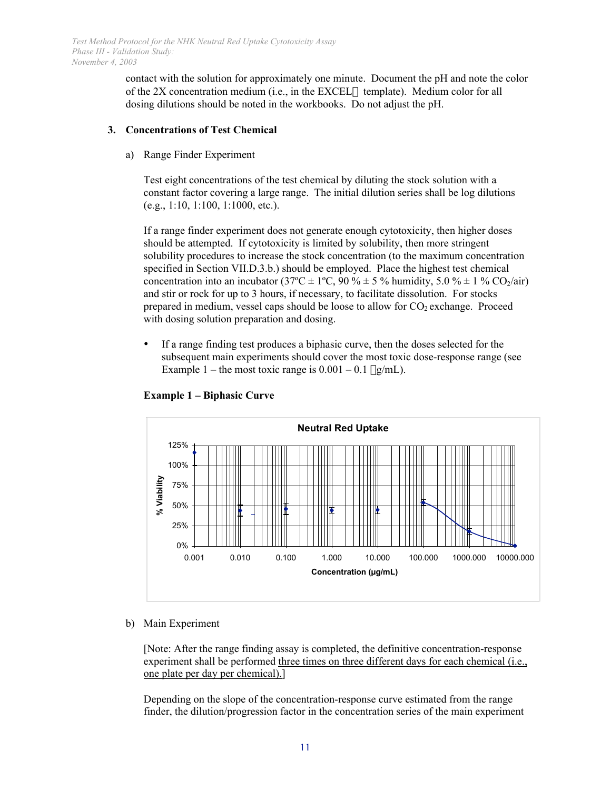contact with the solution for approximately one minute. Document the pH and note the color of the 2X concentration medium (i.e., in the EXCEL $\circledast$  template). Medium color for all dosing dilutions should be noted in the workbooks. Do not adjust the pH.

### **3. Concentrations of Test Chemical**

a) Range Finder Experiment

Test eight concentrations of the test chemical by diluting the stock solution with a constant factor covering a large range. The initial dilution series shall be log dilutions (e.g., 1:10, 1:100, 1:1000, etc.).

If a range finder experiment does not generate enough cytotoxicity, then higher doses should be attempted. If cytotoxicity is limited by solubility, then more stringent solubility procedures to increase the stock concentration (to the maximum concentration specified in Section VII.D.3.b.) should be employed. Place the highest test chemical concentration into an incubator (37 $^{\circ}$ C ± 1 $^{\circ}$ C, 90 $\%$  ± 5% humidity, 5.0% ± 1% CO<sub>2</sub>/air) and stir or rock for up to 3 hours, if necessary, to facilitate dissolution. For stocks prepared in medium, vessel caps should be loose to allow for  $CO<sub>2</sub>$  exchange. Proceed with dosing solution preparation and dosing.

 If a range finding test produces a biphasic curve, then the doses selected for the subsequent main experiments should cover the most toxic dose-response range (see Example 1 – the most toxic range is  $0.001 - 0.1 \mu g/mL$ .





b) Main Experiment

[Note: After the range finding assay is completed, the definitive concentration-response experiment shall be performed three times on three different days for each chemical (i.e., one plate per day per chemical).]

Depending on the slope of the concentration-response curve estimated from the range finder, the dilution/progression factor in the concentration series of the main experiment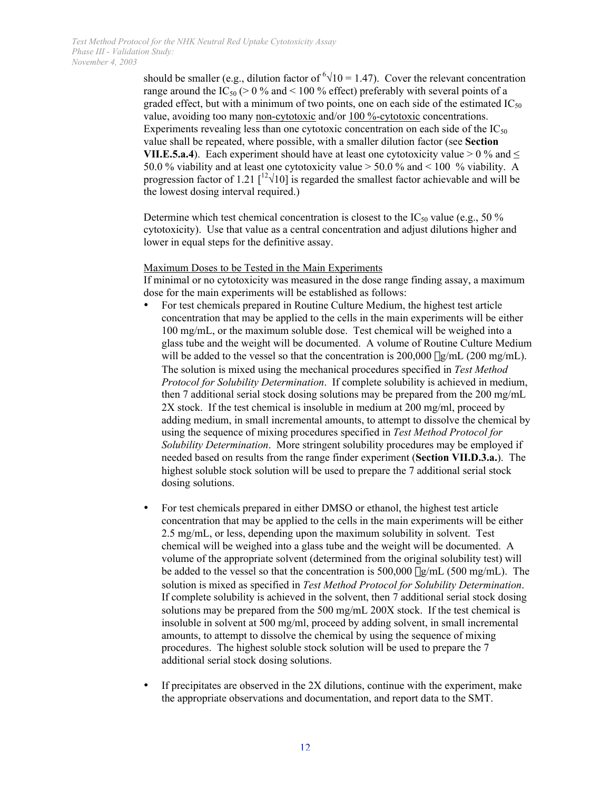should be smaller (e.g., dilution factor of  $\sqrt[6]{10} = 1.47$ ). Cover the relevant concentration range around the IC<sub>50</sub> ( $> 0\%$  and  $< 100\%$  effect) preferably with several points of a graded effect, but with a minimum of two points, one on each side of the estimated  $IC_{50}$ value, avoiding too many non-cytotoxic and/or 100 %-cytotoxic concentrations. Experiments revealing less than one cytotoxic concentration on each side of the  $IC_{50}$ value shall be repeated, where possible, with a smaller dilution factor (see **Section VII.E.5.a.4**). Each experiment should have at least one cytotoxicity value  $> 0\%$  and  $\leq$ 50.0 % viability and at least one cytotoxicity value > 50.0 % and < 100 % viability. A progression factor of 1.21  $\lceil \frac{12\sqrt{10}}{\text{K}} \rceil$  is regarded the smallest factor achievable and will be the lowest dosing interval required.)

Determine which test chemical concentration is closest to the  $IC_{50}$  value (e.g., 50 %) cytotoxicity). Use that value as a central concentration and adjust dilutions higher and lower in equal steps for the definitive assay.

#### Maximum Doses to be Tested in the Main Experiments

If minimal or no cytotoxicity was measured in the dose range finding assay, a maximum dose for the main experiments will be established as follows:

 For test chemicals prepared in Routine Culture Medium, the highest test article concentration that may be applied to the cells in the main experiments will be either 100 mg/mL, or the maximum soluble dose. Test chemical will be weighed into a glass tube and the weight will be documented. A volume of Routine Culture Medium will be added to the vessel so that the concentration is  $200,000 \mu\text{g/mL}$  (200 mg/mL). The solution is mixed using the mechanical procedures specified in *Test Method Protocol for Solubility Determination*. If complete solubility is achieved in medium, then 7 additional serial stock dosing solutions may be prepared from the 200 mg/mL 2X stock. If the test chemical is insoluble in medium at 200 mg/ml, proceed by adding medium, in small incremental amounts, to attempt to dissolve the chemical by using the sequence of mixing procedures specified in *Test Method Protocol for Solubility Determination*. More stringent solubility procedures may be employed if needed based on results from the range finder experiment (**Section VII.D.3.a.**). The highest soluble stock solution will be used to prepare the 7 additional serial stock dosing solutions.

 For test chemicals prepared in either DMSO or ethanol, the highest test article concentration that may be applied to the cells in the main experiments will be either 2.5 mg/mL, or less, depending upon the maximum solubility in solvent. Test chemical will be weighed into a glass tube and the weight will be documented. A volume of the appropriate solvent (determined from the original solubility test) will be added to the vessel so that the concentration is  $500,000 \mu\text{g/mL}$  (500 mg/mL). The solution is mixed as specified in *Test Method Protocol for Solubility Determination*. If complete solubility is achieved in the solvent, then 7 additional serial stock dosing solutions may be prepared from the 500 mg/mL 200X stock. If the test chemical is insoluble in solvent at 500 mg/ml, proceed by adding solvent, in small incremental amounts, to attempt to dissolve the chemical by using the sequence of mixing procedures. The highest soluble stock solution will be used to prepare the 7 additional serial stock dosing solutions.

If precipitates are observed in the 2X dilutions, continue with the experiment, make the appropriate observations and documentation, and report data to the SMT.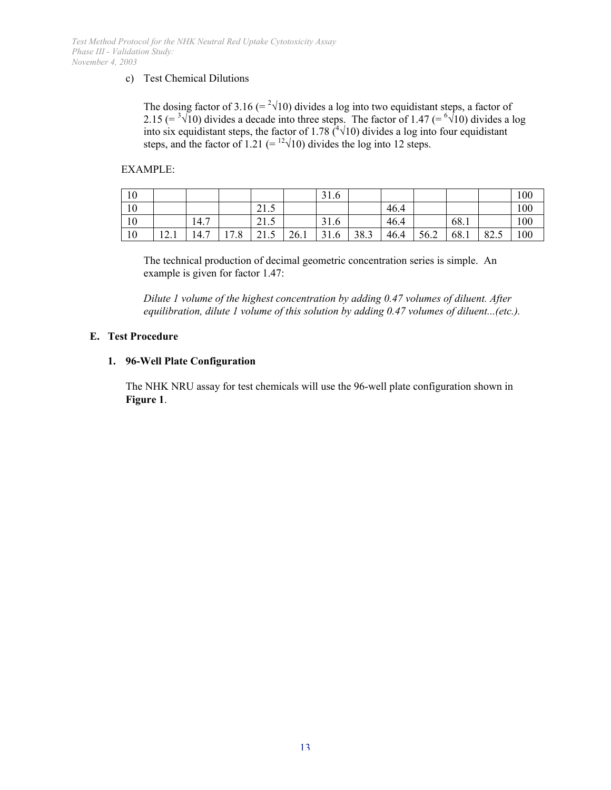#### c) Test Chemical Dilutions

The dosing factor of 3.16 (=  $2\sqrt{10}$ ) divides a log into two equidistant steps, a factor of 2.15 (=  $\sqrt[3]{10}$ ) divides a decade into three steps. The factor of 1.47 (=  $\sqrt[6]{10}$ ) divides a log into six equidistant steps, the factor of 1.78  $({}^{4}\sqrt{10})$  divides a log into four equidistant steps, and the factor of 1.21 (=  $\frac{12}{10}$ ) divides the log into 12 steps.

#### EXAMPLE:

| 10 |      |      |      |                                                  |      | 31.6 |      |      |      |      |      | 100 |
|----|------|------|------|--------------------------------------------------|------|------|------|------|------|------|------|-----|
| 10 |      |      |      | $\overline{\phantom{0}}$<br>$^{\sim}$ 1<br>ن 1 گ |      |      |      | 46.4 |      |      |      | 100 |
| 10 |      | 14.7 |      | 21E<br>21.5                                      |      | 31.6 |      | 46.4 |      | 68.1 |      | 100 |
| 10 | 12.1 | 14.7 | 17.8 | -<br>$^{\sim}$ 1<br>ن . به                       | 26.1 | 31.6 | 38.3 | 46.4 | 56.2 | 68.1 | 82.5 | 100 |

The technical production of decimal geometric concentration series is simple. An example is given for factor 1.47:

*Dilute 1 volume of the highest concentration by adding 0.47 volumes of diluent. After equilibration, dilute 1 volume of this solution by adding 0.47 volumes of diluent...(etc.).* 

#### **E. Test Procedure**

## **1. 96-Well Plate Configuration**

The NHK NRU assay for test chemicals will use the 96-well plate configuration shown in **Figure 1**.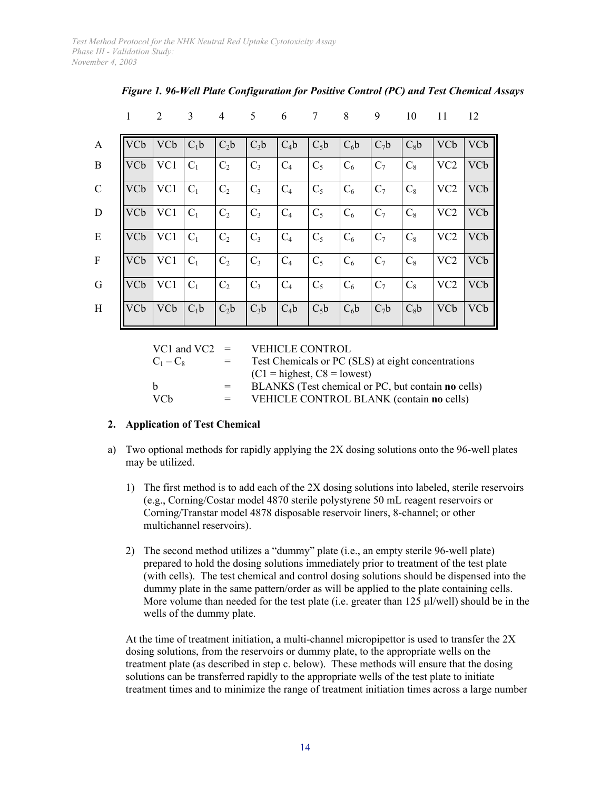|                           | 1               | 2          | 3      | $\overline{4}$ | 5      | 6      | 7      | 8      | 9              | 10     | 11              | 12         |
|---------------------------|-----------------|------------|--------|----------------|--------|--------|--------|--------|----------------|--------|-----------------|------------|
| $\mathbf{A}$              | VC <sub>b</sub> | <b>VCb</b> | $C_1b$ | $C_2b$         | $C_3b$ | $C_4b$ | $C_5b$ | $C_6b$ | $C_7b$         | $C_8b$ | <b>VCb</b>      | <b>VCb</b> |
| B                         | <b>VCb</b>      | VC1        | $C_1$  | C <sub>2</sub> | $C_3$  | $C_4$  | $C_5$  | $C_6$  | $C_7$          | $C_8$  | VC <sub>2</sub> | VCb        |
| $\mathcal{C}$             | VCb             | VC1        | $C_1$  | C <sub>2</sub> | $C_3$  | $C_4$  | $C_5$  | $C_6$  | $C_7$          | $C_8$  | VC <sub>2</sub> | VCb        |
| ${\bf D}$                 | VCb             | VC1        | $C_1$  | C <sub>2</sub> | $C_3$  | $C_4$  | $C_5$  | $C_6$  | $C_7$          | $C_8$  | VC <sub>2</sub> | <b>VCb</b> |
| E                         | <b>VCb</b>      | VC1        | $C_1$  | C <sub>2</sub> | $C_3$  | $C_4$  | $C_5$  | $C_6$  | C <sub>7</sub> | $C_8$  | VC <sub>2</sub> | <b>VCb</b> |
| $\boldsymbol{\mathrm{F}}$ | VC <sub>b</sub> | VC1        | $C_1$  | C <sub>2</sub> | $C_3$  | $C_4$  | $C_5$  | $C_6$  | $C_7$          | $C_8$  | VC <sub>2</sub> | <b>VCb</b> |
| G                         | VCb             | VC1        | $C_1$  | C <sub>2</sub> | $C_3$  | $C_4$  | $C_5$  | $C_6$  | $C_7$          | $C_8$  | VC <sub>2</sub> | VCb        |
| H                         | VC <sub>b</sub> | <b>VCb</b> | $C_1b$ | $C_2b$         | $C_3b$ | $C_4b$ | $C_5b$ | $C_6b$ | $C_7b$         | $C_8b$ | <b>VCb</b>      | VCb        |

# *Figure 1. 96-Well Plate Configuration for Positive Control (PC) and Test Chemical Assays*

| VC1 and VC2 $=$ |         | <b>VEHICLE CONTROL</b>                             |
|-----------------|---------|----------------------------------------------------|
| $C_1 - C_8$     | $=$ $-$ | Test Chemicals or PC (SLS) at eight concentrations |
|                 |         | $(C1 =$ highest, $C8 =$ lowest)                    |
| h.              | $=$     | BLANKS (Test chemical or PC, but contain no cells) |
| <b>VCh</b>      |         | VEHICLE CONTROL BLANK (contain no cells)           |

# **2. Application of Test Chemical**

- a) Two optional methods for rapidly applying the  $2X$  dosing solutions onto the 96-well plates may be utilized.
	- 1) The first method is to add each of the 2X dosing solutions into labeled, sterile reservoirs (e.g., Corning/Costar model 4870 sterile polystyrene 50 mL reagent reservoirs or Corning/Transtar model 4878 disposable reservoir liners, 8-channel; or other multichannel reservoirs).
	- 2) The second method utilizes a "dummy" plate (i.e., an empty sterile 96-well plate) prepared to hold the dosing solutions immediately prior to treatment of the test plate (with cells). The test chemical and control dosing solutions should be dispensed into the dummy plate in the same pattern/order as will be applied to the plate containing cells. More volume than needed for the test plate (i.e. greater than 125 µl/well) should be in the wells of the dummy plate.

At the time of treatment initiation, a multi-channel micropipettor is used to transfer the 2X dosing solutions, from the reservoirs or dummy plate, to the appropriate wells on the treatment plate (as described in step c. below). These methods will ensure that the dosing solutions can be transferred rapidly to the appropriate wells of the test plate to initiate treatment times and to minimize the range of treatment initiation times across a large number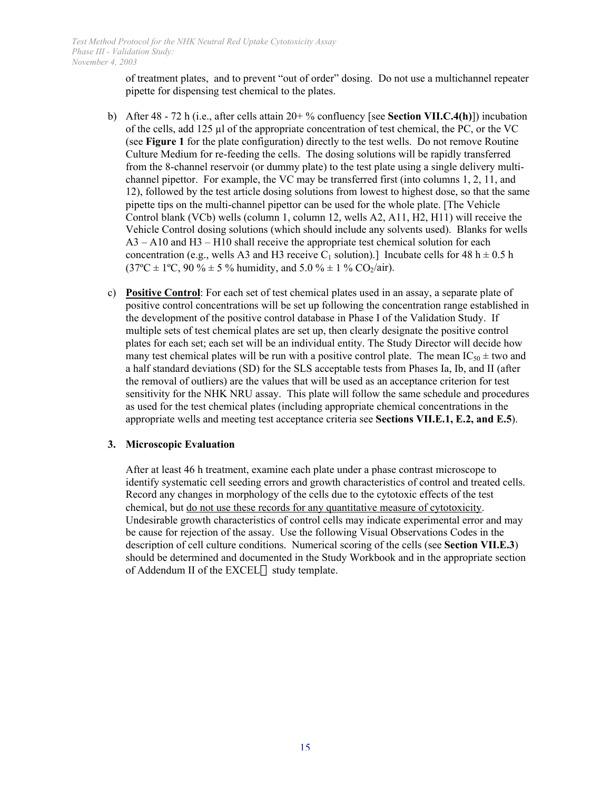of treatment plates, and to prevent "out of order" dosing. Do not use a multichannel repeater pipette for dispensing test chemical to the plates.

- b) After 48 72 h (i.e., after cells attain 20+ % confluency [see **Section VII.C.4(h)**]) incubation of the cells, add 125 µl of the appropriate concentration of test chemical, the PC, or the VC (see **Figure 1** for the plate configuration) directly to the test wells. Do not remove Routine Culture Medium for re-feeding the cells. The dosing solutions will be rapidly transferred from the 8-channel reservoir (or dummy plate) to the test plate using a single delivery multichannel pipettor. For example, the VC may be transferred first (into columns 1, 2, 11, and 12), followed by the test article dosing solutions from lowest to highest dose, so that the same pipette tips on the multi-channel pipettor can be used for the whole plate. [The Vehicle Control blank (VCb) wells (column 1, column 12, wells A2, A11, H2, H11) will receive the Vehicle Control dosing solutions (which should include any solvents used). Blanks for wells  $A3 - A10$  and  $H3 - H10$  shall receive the appropriate test chemical solution for each concentration (e.g., wells A3 and H3 receive C<sub>1</sub> solution).] Incubate cells for 48 h  $\pm$  0.5 h  $(37^{\circ}\text{C} \pm 1^{\circ}\text{C}, 90\% \pm 5\%$  humidity, and  $5.0\% \pm 1\%$  CO<sub>2</sub>/air).
- c) **Positive Control**: For each set of test chemical plates used in an assay, a separate plate of positive control concentrations will be set up following the concentration range established in the development of the positive control database in Phase I of the Validation Study. If multiple sets of test chemical plates are set up, then clearly designate the positive control plates for each set; each set will be an individual entity. The Study Director will decide how many test chemical plates will be run with a positive control plate. The mean  $IC_{50} \pm$  two and a half standard deviations (SD) for the SLS acceptable tests from Phases Ia, Ib, and II (after the removal of outliers) are the values that will be used as an acceptance criterion for test sensitivity for the NHK NRU assay. This plate will follow the same schedule and procedures as used for the test chemical plates (including appropriate chemical concentrations in the appropriate wells and meeting test acceptance criteria see **Sections VII.E.1, E.2, and E.5**).

#### **3. Microscopic Evaluation**

After at least 46 h treatment, examine each plate under a phase contrast microscope to identify systematic cell seeding errors and growth characteristics of control and treated cells. Record any changes in morphology of the cells due to the cytotoxic effects of the test chemical, but do not use these records for any quantitative measure of cytotoxicity. Undesirable growth characteristics of control cells may indicate experimental error and may be cause for rejection of the assay. Use the following Visual Observations Codes in the description of cell culture conditions. Numerical scoring of the cells (see **Section VII.E.3**) should be determined and documented in the Study Workbook and in the appropriate section of Addendum II of the EXCEL® study template.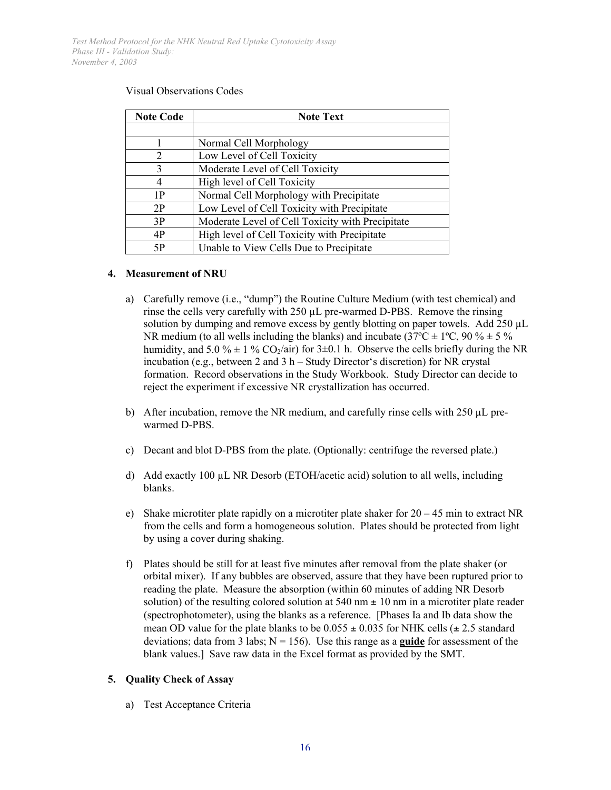| <b>Note Code</b>            | <b>Note Text</b>                                 |
|-----------------------------|--------------------------------------------------|
|                             |                                                  |
|                             | Normal Cell Morphology                           |
| $\mathcal{D}_{\mathcal{L}}$ | Low Level of Cell Toxicity                       |
| 3                           | Moderate Level of Cell Toxicity                  |
| 4                           | High level of Cell Toxicity                      |
| 1P                          | Normal Cell Morphology with Precipitate          |
| 2P                          | Low Level of Cell Toxicity with Precipitate      |
| 3P                          | Moderate Level of Cell Toxicity with Precipitate |
| 4P                          | High level of Cell Toxicity with Precipitate     |
| 5P                          | Unable to View Cells Due to Precipitate          |

#### Visual Observations Codes

#### **4. Measurement of NRU**

- a) Carefully remove (i.e., "dump") the Routine Culture Medium (with test chemical) and rinse the cells very carefully with 250 µL pre-warmed D-PBS. Remove the rinsing solution by dumping and remove excess by gently blotting on paper towels. Add 250 µL NR medium (to all wells including the blanks) and incubate (37 $^{\circ}$ C  $\pm$  1 $^{\circ}$ C, 90 %  $\pm$  5 % humidity, and 5.0 %  $\pm$  1 % CO<sub>2</sub>/air) for 3 $\pm$ 0.1 h. Observe the cells briefly during the NR incubation (e.g., between 2 and 3 h – Study Director's discretion) for NR crystal formation. Record observations in the Study Workbook. Study Director can decide to reject the experiment if excessive NR crystallization has occurred.
- b) After incubation, remove the NR medium, and carefully rinse cells with  $250 \mu L$  prewarmed D-PBS.
- c) Decant and blot D-PBS from the plate. (Optionally: centrifuge the reversed plate.)
- d) Add exactly 100  $\mu$ L NR Desorb (ETOH/acetic acid) solution to all wells, including blanks.
- e) Shake microtiter plate rapidly on a microtiter plate shaker for  $20 45$  min to extract NR from the cells and form a homogeneous solution. Plates should be protected from light by using a cover during shaking.
- f) Plates should be still for at least five minutes after removal from the plate shaker (or orbital mixer). If any bubbles are observed, assure that they have been ruptured prior to reading the plate. Measure the absorption (within 60 minutes of adding NR Desorb solution) of the resulting colored solution at  $540 \text{ nm} \pm 10 \text{ nm}$  in a microtiter plate reader (spectrophotometer), using the blanks as a reference. [Phases Ia and Ib data show the mean OD value for the plate blanks to be  $0.055 \pm 0.035$  for NHK cells ( $\pm 2.5$  standard deviations; data from 3 labs;  $N = 156$ ). Use this range as a **guide** for assessment of the blank values.] Save raw data in the Excel format as provided by the SMT.

#### **5. Quality Check of Assay**

a) Test Acceptance Criteria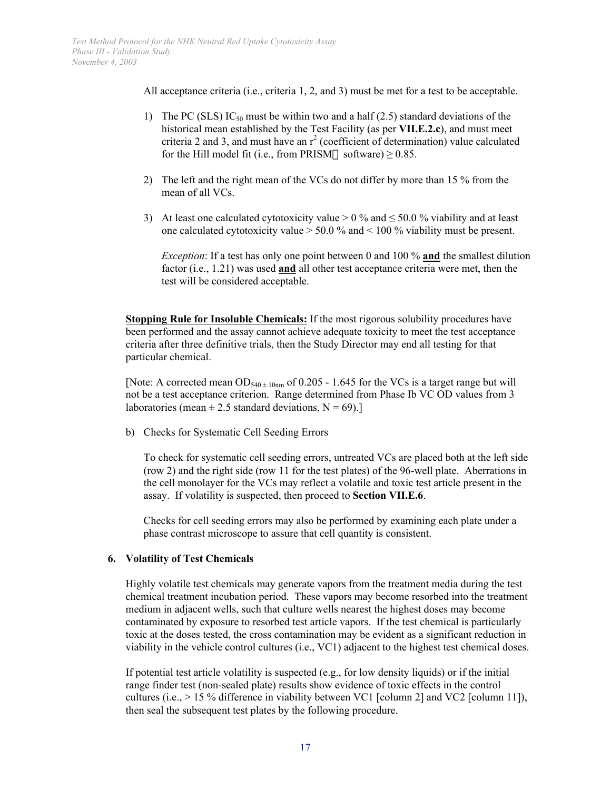All acceptance criteria (i.e., criteria 1, 2, and 3) must be met for a test to be acceptable.

- 1) The PC (SLS)  $IC_{50}$  must be within two and a half (2.5) standard deviations of the historical mean established by the Test Facility (as per **VII.E.2.c**), and must meet criteria 2 and 3, and must have an  $r^2$  (coefficient of determination) value calculated for the Hill model fit (i.e., from PRISM® software)  $\geq$  0.85.
- 2) The left and the right mean of the VCs do not differ by more than 15 % from the mean of all VCs.
- 3) At least one calculated cytotoxicity value  $> 0\%$  and  $\leq 50.0\%$  viability and at least one calculated cytotoxicity value > 50.0 % and < 100 % viability must be present.

*Exception*: If a test has only one point between 0 and 100 % **and** the smallest dilution factor (i.e., 1.21) was used **and** all other test acceptance criteria were met, then the test will be considered acceptable.

**Stopping Rule for Insoluble Chemicals:** If the most rigorous solubility procedures have been performed and the assay cannot achieve adequate toxicity to meet the test acceptance criteria after three definitive trials, then the Study Director may end all testing for that particular chemical.

[Note: A corrected mean  $OD_{540 \pm 10nm}$  of 0.205 - 1.645 for the VCs is a target range but will not be a test acceptance criterion. Range determined from Phase Ib VC OD values from 3 laboratories (mean  $\pm 2.5$  standard deviations, N = 69).]

b) Checks for Systematic Cell Seeding Errors

To check for systematic cell seeding errors, untreated VCs are placed both at the left side (row 2) and the right side (row 11 for the test plates) of the 96-well plate. Aberrations in the cell monolayer for the VCs may reflect a volatile and toxic test article present in the assay. If volatility is suspected, then proceed to **Section VII.E.6**.

Checks for cell seeding errors may also be performed by examining each plate under a phase contrast microscope to assure that cell quantity is consistent.

# **6. Volatility of Test Chemicals**

Highly volatile test chemicals may generate vapors from the treatment media during the test chemical treatment incubation period. These vapors may become resorbed into the treatment medium in adjacent wells, such that culture wells nearest the highest doses may become contaminated by exposure to resorbed test article vapors. If the test chemical is particularly toxic at the doses tested, the cross contamination may be evident as a significant reduction in viability in the vehicle control cultures (i.e., VC1) adjacent to the highest test chemical doses.

If potential test article volatility is suspected  $(e.g., for low density liquids)$  or if the initial range finder test (non-sealed plate) results show evidence of toxic effects in the control cultures (i.e.,  $> 15\%$  difference in viability between VC1 [column 2] and VC2 [column 11]), then seal the subsequent test plates by the following procedure.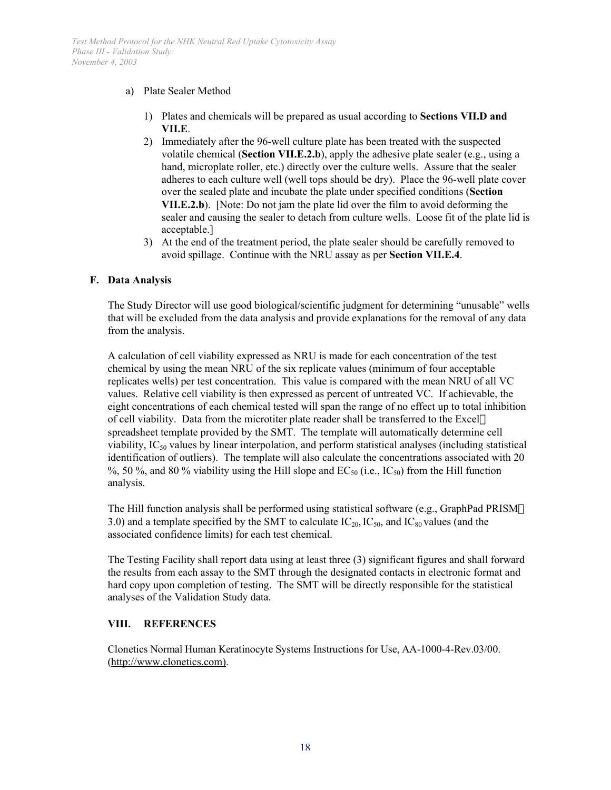## a) Plate Sealer Method

- 1) Plates and chemicals will be prepared as usual according to **Sections VII.D and VII.E**.
- 2) Immediately after the 96-well culture plate has been treated with the suspected volatile chemical (**Section VII.E.2.b**), apply the adhesive plate sealer (e.g., using a hand, microplate roller, etc.) directly over the culture wells. Assure that the sealer adheres to each culture well (well tops should be dry). Place the 96-well plate cover over the sealed plate and incubate the plate under specified conditions (**Section VII.E.2.b**). [Note: Do not jam the plate lid over the film to avoid deforming the sealer and causing the sealer to detach from culture wells. Loose fit of the plate lid is acceptable.]
- 3) At the end of the treatment period, the plate sealer should be carefully removed to avoid spillage. Continue with the NRU assay as per **Section VII.E.4**.

## **F. Data Analysis**

The Study Director will use good biological/scientific judgment for determining "unusable" wells that will be excluded from the data analysis and provide explanations for the removal of any data from the analysis.

A calculation of cell viability expressed as NRU is made for each concentration of the test chemical by using the mean NRU of the six replicate values (minimum of four acceptable replicates wells) per test concentration. This value is compared with the mean NRU of all VC values. Relative cell viability is then expressed as percent of untreated VC. If achievable, the eight concentrations of each chemical tested will span the range of no effect up to total inhibition of cell viability. Data from the microtiter plate reader shall be transferred to the Excel $\circledR$ spreadsheet template provided by the SMT. The template will automatically determine cell viability,  $IC_{50}$  values by linear interpolation, and perform statistical analyses (including statistical identification of outliers). The template will also calculate the concentrations associated with 20 %, 50 %, and 80 % viability using the Hill slope and  $EC_{50}$  (i.e.,  $IC_{50}$ ) from the Hill function analysis.

The Hill function analysis shall be performed using statistical software (e.g., GraphPad PRISM $\circledR$ ) 3.0) and a template specified by the SMT to calculate  $IC_{20}$ ,  $IC_{50}$ , and  $IC_{80}$  values (and the associated confidence limits) for each test chemical.

The Testing Facility shall report data using at least three (3) significant figures and shall forward the results from each assay to the SMT through the designated contacts in electronic format and hard copy upon completion of testing. The SMT will be directly responsible for the statistical analyses of the Validation Study data.

#### **VIII. REFERENCES**

 Clonetics Normal Human Keratinocyte Systems Instructions for Use, AA-1000-4-Rev.03/00. (http://www.clonetics.com).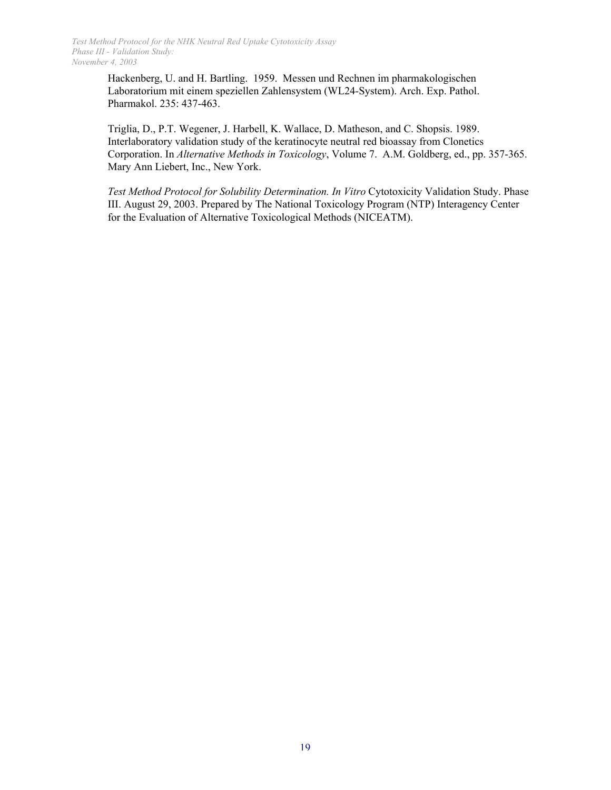> Hackenberg, U. and H. Bartling. 1959. Messen und Rechnen im pharmakologischen Laboratorium mit einem speziellen Zahlensystem (WL24-System). Arch. Exp. Pathol. Pharmakol. 235: 437-463.

Triglia, D., P.T. Wegener, J. Harbell, K. Wallace, D. Matheson, and C. Shopsis. 1989. Interlaboratory validation study of the keratinocyte neutral red bioassay from Clonetics Corporation. In *Alternative Methods in Toxicology*, Volume 7. A.M. Goldberg, ed., pp. 357-365. Mary Ann Liebert, Inc., New York.

*Test Method Protocol for Solubility Determination. In Vitro* Cytotoxicity Validation Study. Phase III. August 29, 2003. Prepared by The National Toxicology Program (NTP) Interagency Center for the Evaluation of Alternative Toxicological Methods (NICEATM).